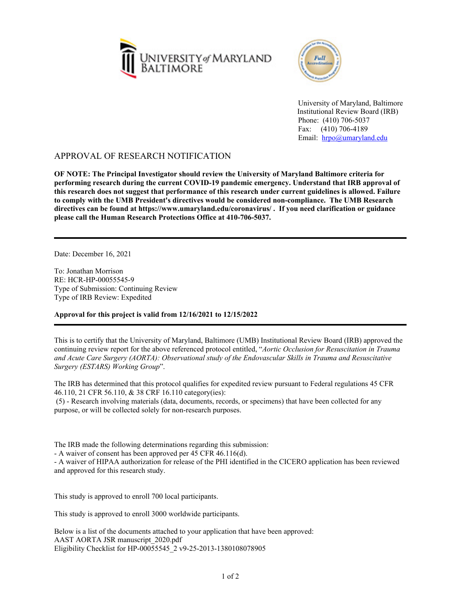



University of Maryland, Baltimore Institutional Review Board (IRB) Phone: (410) 706-5037 Fax: (410) 706-4189 Email: [hrpo@umaryland.edu](mailto:HRPO@umaryland.edu)

## APPROVAL OF RESEARCH NOTIFICATION

**OF NOTE: The Principal Investigator should review the University of Maryland Baltimore criteria for performing research during the current COVID-19 pandemic emergency. Understand that IRB approval of this research does not suggest that performance of this research under current guidelines is allowed. Failure to comply with the UMB President's directives would be considered non-compliance. The UMB Research directives can be found at https://www.umaryland.edu/coronavirus/ . If you need clarification or guidance please call the Human Research Protections Office at 410-706-5037.**

Date: December 16, 2021

To: Jonathan Morrison RE: HCR-HP-00055545-9 Type of Submission: Continuing Review Type of IRB Review: Expedited

**Approval for this project is valid from 12/16/2021 to 12/15/2022**

This is to certify that the University of Maryland, Baltimore (UMB) Institutional Review Board (IRB) approved the continuing review report for the above referenced protocol entitled, "*Aortic Occlusion for Resuscitation in Trauma and Acute Care Surgery (AORTA): Observational study of the Endovascular Skills in Trauma and Resuscitative Surgery (ESTARS) Working Group*".

The IRB has determined that this protocol qualifies for expedited review pursuant to Federal regulations 45 CFR 46.110, 21 CFR 56.110, & 38 CRF 16.110 category(ies):

 (5) - Research involving materials (data, documents, records, or specimens) that have been collected for any purpose, or will be collected solely for non-research purposes.

The IRB made the following determinations regarding this submission:

- A waiver of consent has been approved per 45 CFR 46.116(d).

- A waiver of HIPAA authorization for release of the PHI identified in the CICERO application has been reviewed and approved for this research study.

This study is approved to enroll 700 local participants.

This study is approved to enroll 3000 worldwide participants.

Below is a list of the documents attached to your application that have been approved: AAST AORTA JSR manuscript\_2020.pdf Eligibility Checklist for HP-00055545\_2 v9-25-2013-1380108078905